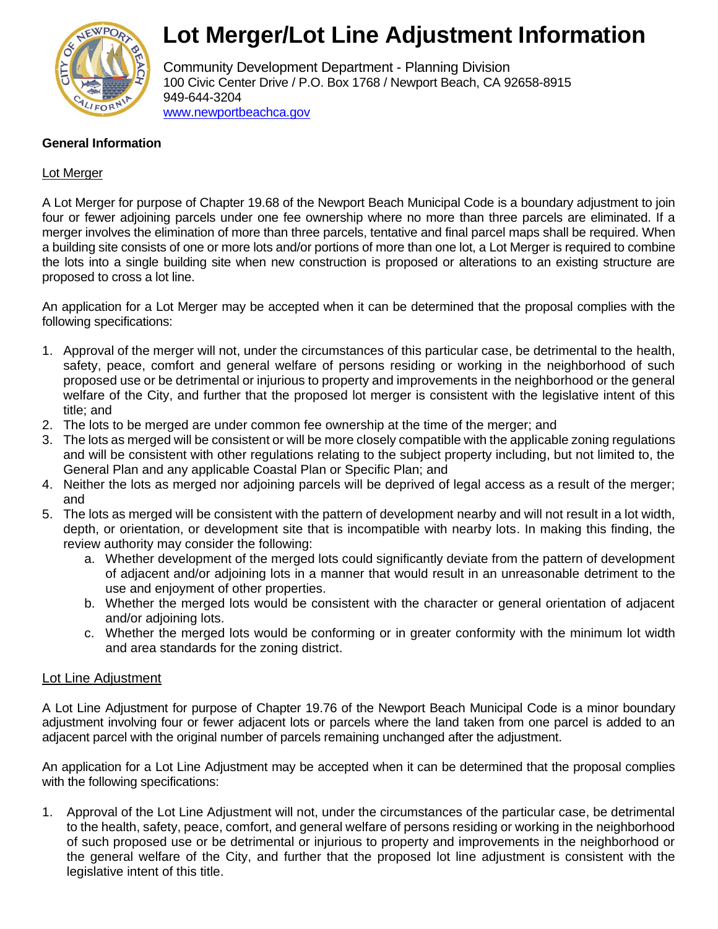

## **Lot Merger/Lot Line Adjustment Information**

Community Development Department - Planning Division 100 Civic Center Drive / P.O. Box 1768 / Newport Beach, CA 92658-8915 949-644-3204 [www.newportbeachca.gov](http://www.newportbeachca.gov/)

#### **General Information**

#### Lot Merger

A Lot Merger for purpose of Chapter 19.68 of the Newport Beach Municipal Code is a boundary adjustment to join four or fewer adjoining parcels under one fee ownership where no more than three parcels are eliminated. If a merger involves the elimination of more than three parcels, tentative and final parcel maps shall be required. When a building site consists of one or more lots and/or portions of more than one lot, a Lot Merger is required to combine the lots into a single building site when new construction is proposed or alterations to an existing structure are proposed to cross a lot line.

An application for a Lot Merger may be accepted when it can be determined that the proposal complies with the following specifications:

- 1. Approval of the merger will not, under the circumstances of this particular case, be detrimental to the health, safety, peace, comfort and general welfare of persons residing or working in the neighborhood of such proposed use or be detrimental or injurious to property and improvements in the neighborhood or the general welfare of the City, and further that the proposed lot merger is consistent with the legislative intent of this title; and
- 2. The lots to be merged are under common fee ownership at the time of the merger; and
- 3. The lots as merged will be consistent or will be more closely compatible with the applicable zoning regulations and will be consistent with other regulations relating to the subject property including, but not limited to, the General Plan and any applicable Coastal Plan or Specific Plan; and
- 4. Neither the lots as merged nor adjoining parcels will be deprived of legal access as a result of the merger; and
- 5. The lots as merged will be consistent with the pattern of development nearby and will not result in a lot width, depth, or orientation, or development site that is incompatible with nearby lots. In making this finding, the review authority may consider the following:
	- a. Whether development of the merged lots could significantly deviate from the pattern of development of adjacent and/or adjoining lots in a manner that would result in an unreasonable detriment to the use and enjoyment of other properties.
	- b. Whether the merged lots would be consistent with the character or general orientation of adjacent and/or adjoining lots.
	- c. Whether the merged lots would be conforming or in greater conformity with the minimum lot width and area standards for the zoning district.

#### Lot Line Adjustment

A Lot Line Adjustment for purpose of Chapter 19.76 of the Newport Beach Municipal Code is a minor boundary adjustment involving four or fewer adjacent lots or parcels where the land taken from one parcel is added to an adjacent parcel with the original number of parcels remaining unchanged after the adjustment.

An application for a Lot Line Adjustment may be accepted when it can be determined that the proposal complies with the following specifications:

1. Approval of the Lot Line Adjustment will not, under the circumstances of the particular case, be detrimental to the health, safety, peace, comfort, and general welfare of persons residing or working in the neighborhood of such proposed use or be detrimental or injurious to property and improvements in the neighborhood or the general welfare of the City, and further that the proposed lot line adjustment is consistent with the legislative intent of this title.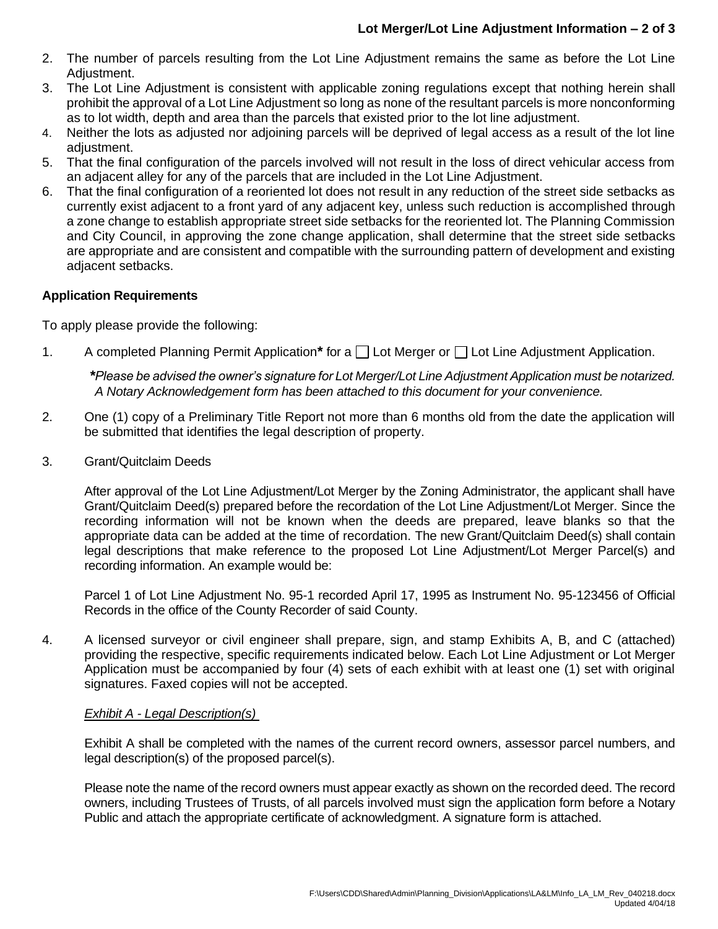- 2. The number of parcels resulting from the Lot Line Adjustment remains the same as before the Lot Line Adiustment.
- 3. The Lot Line Adjustment is consistent with applicable zoning regulations except that nothing herein shall prohibit the approval of a Lot Line Adjustment so long as none of the resultant parcels is more nonconforming as to lot width, depth and area than the parcels that existed prior to the lot line adjustment.
- 4. Neither the lots as adjusted nor adjoining parcels will be deprived of legal access as a result of the lot line adjustment.
- 5. That the final configuration of the parcels involved will not result in the loss of direct vehicular access from an adjacent alley for any of the parcels that are included in the Lot Line Adjustment.
- 6. That the final configuration of a reoriented lot does not result in any reduction of the street side setbacks as currently exist adjacent to a front yard of any adjacent key, unless such reduction is accomplished through a zone change to establish appropriate street side setbacks for the reoriented lot. The Planning Commission and City Council, in approving the zone change application, shall determine that the street side setbacks are appropriate and are consistent and compatible with the surrounding pattern of development and existing adjacent setbacks.

#### **Application Requirements**

To apply please provide the following:

1. A completed Planning Permit Application<sup>\*</sup> for a  $\Box$  Lot Merger or  $\Box$  Lot Line Adjustment Application.

*\*Please be advised the owner's signature for Lot Merger/Lot Line Adjustment Application must be notarized. A Notary Acknowledgement form has been attached to this document for your convenience.*

- 2. One (1) copy of a Preliminary Title Report not more than 6 months old from the date the application will be submitted that identifies the legal description of property.
- 3. Grant/Quitclaim Deeds

After approval of the Lot Line Adjustment/Lot Merger by the Zoning Administrator, the applicant shall have Grant/Quitclaim Deed(s) prepared before the recordation of the Lot Line Adjustment/Lot Merger. Since the recording information will not be known when the deeds are prepared, leave blanks so that the appropriate data can be added at the time of recordation. The new Grant/Quitclaim Deed(s) shall contain legal descriptions that make reference to the proposed Lot Line Adjustment/Lot Merger Parcel(s) and recording information. An example would be:

Parcel 1 of Lot Line Adjustment No. 95-1 recorded April 17, 1995 as Instrument No. 95-123456 of Official Records in the office of the County Recorder of said County.

4. A licensed surveyor or civil engineer shall prepare, sign, and stamp Exhibits A, B, and C (attached) providing the respective, specific requirements indicated below. Each Lot Line Adjustment or Lot Merger Application must be accompanied by four (4) sets of each exhibit with at least one (1) set with original signatures. Faxed copies will not be accepted.

#### *Exhibit A - Legal Description(s)*

Exhibit A shall be completed with the names of the current record owners, assessor parcel numbers, and legal description(s) of the proposed parcel(s).

Please note the name of the record owners must appear exactly as shown on the recorded deed. The record owners, including Trustees of Trusts, of all parcels involved must sign the application form before a Notary Public and attach the appropriate certificate of acknowledgment. A signature form is attached.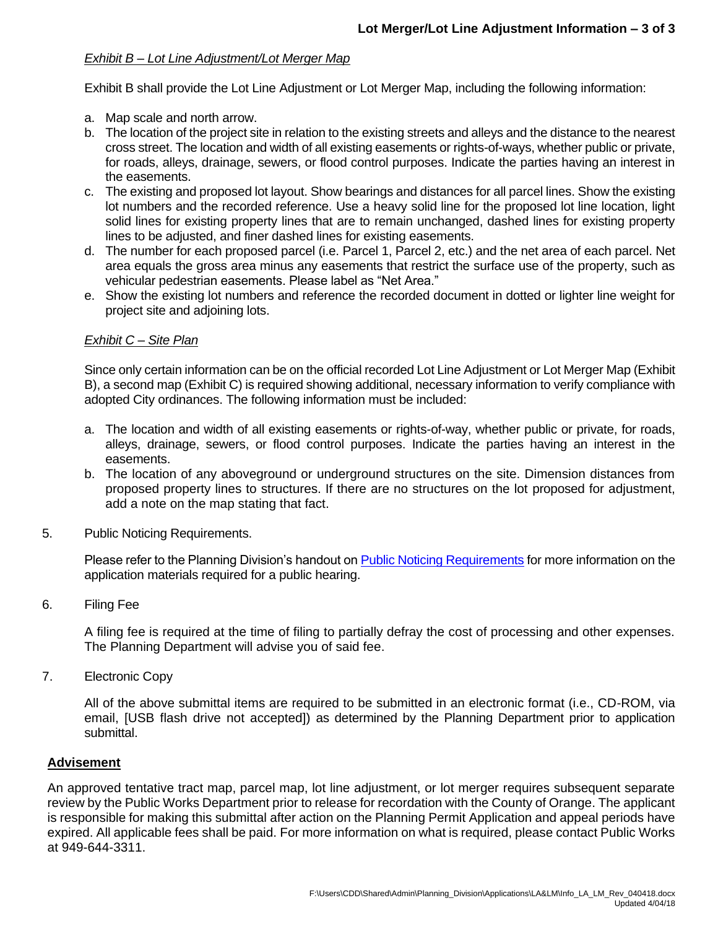#### *Exhibit B – Lot Line Adjustment/Lot Merger Map*

Exhibit B shall provide the Lot Line Adjustment or Lot Merger Map, including the following information:

- a. Map scale and north arrow.
- b. The location of the project site in relation to the existing streets and alleys and the distance to the nearest cross street. The location and width of all existing easements or rights-of-ways, whether public or private, for roads, alleys, drainage, sewers, or flood control purposes. Indicate the parties having an interest in the easements.
- c. The existing and proposed lot layout. Show bearings and distances for all parcel lines. Show the existing lot numbers and the recorded reference. Use a heavy solid line for the proposed lot line location, light solid lines for existing property lines that are to remain unchanged, dashed lines for existing property lines to be adjusted, and finer dashed lines for existing easements.
- d. The number for each proposed parcel (i.e. Parcel 1, Parcel 2, etc.) and the net area of each parcel. Net area equals the gross area minus any easements that restrict the surface use of the property, such as vehicular pedestrian easements. Please label as "Net Area."
- e. Show the existing lot numbers and reference the recorded document in dotted or lighter line weight for project site and adjoining lots.

#### *Exhibit C – Site Plan*

Since only certain information can be on the official recorded Lot Line Adjustment or Lot Merger Map (Exhibit B), a second map (Exhibit C) is required showing additional, necessary information to verify compliance with adopted City ordinances. The following information must be included:

- a. The location and width of all existing easements or rights-of-way, whether public or private, for roads, alleys, drainage, sewers, or flood control purposes. Indicate the parties having an interest in the easements.
- b. The location of any aboveground or underground structures on the site. Dimension distances from proposed property lines to structures. If there are no structures on the lot proposed for adjustment, add a note on the map stating that fact.
- 5. Public Noticing Requirements.

Please refer to the Planning Division's handout o[n Public Noticing Requirements](http://www.newportbeachca.gov/Modules/ShowDocument.aspx?documentid=10041) for more information on the application materials required for a public hearing.

6. Filing Fee

A filing fee is required at the time of filing to partially defray the cost of processing and other expenses. The Planning Department will advise you of said fee.

7. Electronic Copy

All of the above submittal items are required to be submitted in an electronic format (i.e., CD-ROM, via email, [USB flash drive not accepted]) as determined by the Planning Department prior to application submittal.

#### **Advisement**

An approved tentative tract map, parcel map, lot line adjustment, or lot merger requires subsequent separate review by the Public Works Department prior to release for recordation with the County of Orange. The applicant is responsible for making this submittal after action on the Planning Permit Application and appeal periods have expired. All applicable fees shall be paid. For more information on what is required, please contact Public Works at 949-644-3311.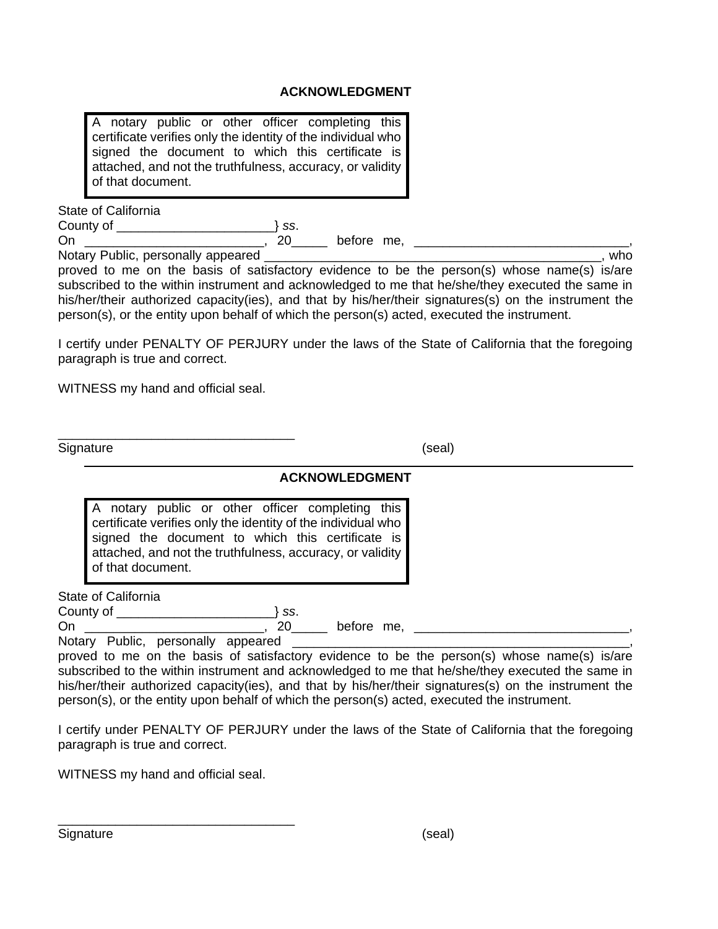#### **ACKNOWLEDGMENT**

|                   |  |  |  |  |  |  | A notary public or other officer completing this             |  |
|-------------------|--|--|--|--|--|--|--------------------------------------------------------------|--|
|                   |  |  |  |  |  |  | certificate verifies only the identity of the individual who |  |
|                   |  |  |  |  |  |  | signed the document to which this certificate is             |  |
|                   |  |  |  |  |  |  | attached, and not the truthfulness, accuracy, or validity    |  |
| of that document. |  |  |  |  |  |  |                                                              |  |

State of California County of \_\_\_\_\_\_\_\_\_\_\_\_\_\_\_\_\_\_\_\_\_\_} *ss*. On \_\_\_\_\_\_\_\_\_\_\_\_\_\_\_\_\_\_\_\_\_\_\_\_\_, 20\_\_\_\_\_ before me, \_\_\_\_\_\_\_\_\_\_\_\_\_\_\_\_\_\_\_\_\_\_\_\_\_\_\_\_\_\_,

Notary Public, personally appeared \_\_\_\_\_\_\_\_\_\_\_\_\_\_\_\_\_\_\_\_\_\_\_\_\_\_\_\_\_\_\_\_\_\_\_\_\_\_\_\_\_\_\_\_\_\_\_, who proved to me on the basis of satisfactory evidence to be the person(s) whose name(s) is/are subscribed to the within instrument and acknowledged to me that he/she/they executed the same in

his/her/their authorized capacity(ies), and that by his/her/their signatures(s) on the instrument the person(s), or the entity upon behalf of which the person(s) acted, executed the instrument.

I certify under PENALTY OF PERJURY under the laws of the State of California that the foregoing paragraph is true and correct.

WITNESS my hand and official seal.

| Signature |  |
|-----------|--|

#### **ACKNOWLEDGMENT**

|                   |  |  | A notary public or other officer completing this             |  |
|-------------------|--|--|--------------------------------------------------------------|--|
|                   |  |  | certificate verifies only the identity of the individual who |  |
|                   |  |  | signed the document to which this certificate is             |  |
|                   |  |  | attached, and not the truthfulness, accuracy, or validity    |  |
| of that document. |  |  |                                                              |  |

State of California

County of \_\_\_\_\_\_\_\_\_\_\_\_\_\_\_\_\_\_\_\_\_\_} *ss*.

On \_\_\_\_\_\_\_\_\_\_\_\_\_\_\_\_\_\_\_\_\_\_\_\_\_\_, 20\_\_\_\_\_\_ before me, \_\_\_\_\_\_\_\_\_\_\_\_\_\_\_\_\_\_\_\_\_\_\_\_\_\_\_\_\_

Notary Public, personally appeared \_\_\_\_\_\_\_

proved to me on the basis of satisfactory evidence to be the person(s) whose name(s) is/are subscribed to the within instrument and acknowledged to me that he/she/they executed the same in his/her/their authorized capacity(ies), and that by his/her/their signatures(s) on the instrument the person(s), or the entity upon behalf of which the person(s) acted, executed the instrument.

I certify under PENALTY OF PERJURY under the laws of the State of California that the foregoing paragraph is true and correct.

WITNESS my hand and official seal.

\_\_\_\_\_\_\_\_\_\_\_\_\_\_\_\_\_\_\_\_\_\_\_\_\_\_\_\_\_\_\_\_\_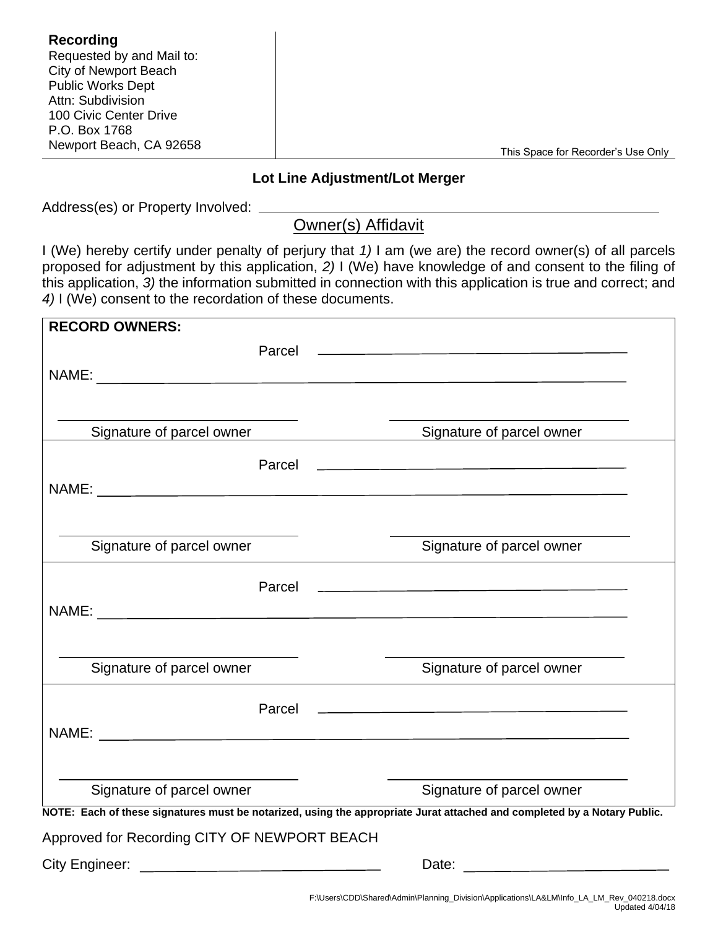| Recording                 |                                    |
|---------------------------|------------------------------------|
| Requested by and Mail to: |                                    |
| City of Newport Beach     |                                    |
| <b>Public Works Dept</b>  |                                    |
| Attn: Subdivision         |                                    |
| 100 Civic Center Drive    |                                    |
| P.O. Box 1768             |                                    |
| Newport Beach, CA 92658   |                                    |
|                           | This Space for Recorder's Use Only |

#### **Lot Line Adjustment/Lot Merger**

Address(es) or Property Involved: \_\_\_\_\_

### Owner(s) Affidavit

I (We) hereby certify under penalty of perjury that *1)* I am (we are) the record owner(s) of all parcels proposed for adjustment by this application, *2)* I (We) have knowledge of and consent to the filing of this application, *3)* the information submitted in connection with this application is true and correct; and *4)* I (We) consent to the recordation of these documents.

| <b>RECORD OWNERS:</b>                                                                                                    |                                                                                                                       |  |  |  |
|--------------------------------------------------------------------------------------------------------------------------|-----------------------------------------------------------------------------------------------------------------------|--|--|--|
| Parcel                                                                                                                   | the contract of the contract of the contract of the contract of the contract of the contract of                       |  |  |  |
|                                                                                                                          |                                                                                                                       |  |  |  |
|                                                                                                                          |                                                                                                                       |  |  |  |
|                                                                                                                          |                                                                                                                       |  |  |  |
| Signature of parcel owner                                                                                                | Signature of parcel owner                                                                                             |  |  |  |
| Parcel                                                                                                                   | <u> 1989 - Johann Harry Harry Harry Harry Harry Harry Harry Harry Harry Harry Harry Harry Harry Harry Harry Harry</u> |  |  |  |
|                                                                                                                          |                                                                                                                       |  |  |  |
|                                                                                                                          |                                                                                                                       |  |  |  |
|                                                                                                                          |                                                                                                                       |  |  |  |
| Signature of parcel owner                                                                                                | Signature of parcel owner                                                                                             |  |  |  |
|                                                                                                                          |                                                                                                                       |  |  |  |
| Parcel                                                                                                                   | <u> 1989 - Johann Stoff, Amerikaansk politiker († 1908)</u>                                                           |  |  |  |
|                                                                                                                          |                                                                                                                       |  |  |  |
|                                                                                                                          |                                                                                                                       |  |  |  |
| Signature of parcel owner                                                                                                | Signature of parcel owner                                                                                             |  |  |  |
|                                                                                                                          |                                                                                                                       |  |  |  |
| Parcel                                                                                                                   | <u> 1989 - Johann John Stone, meilich aus der Stone († 1918)</u>                                                      |  |  |  |
|                                                                                                                          |                                                                                                                       |  |  |  |
|                                                                                                                          |                                                                                                                       |  |  |  |
|                                                                                                                          |                                                                                                                       |  |  |  |
| Signature of parcel owner                                                                                                | Signature of parcel owner                                                                                             |  |  |  |
| NOTE: Each of these signatures must be notarized, using the appropriate Jurat attached and completed by a Notary Public. |                                                                                                                       |  |  |  |
| Approved for Recording CITY OF NEWPORT BEACH                                                                             |                                                                                                                       |  |  |  |
| <b>City Engineer:</b>                                                                                                    | Date:                                                                                                                 |  |  |  |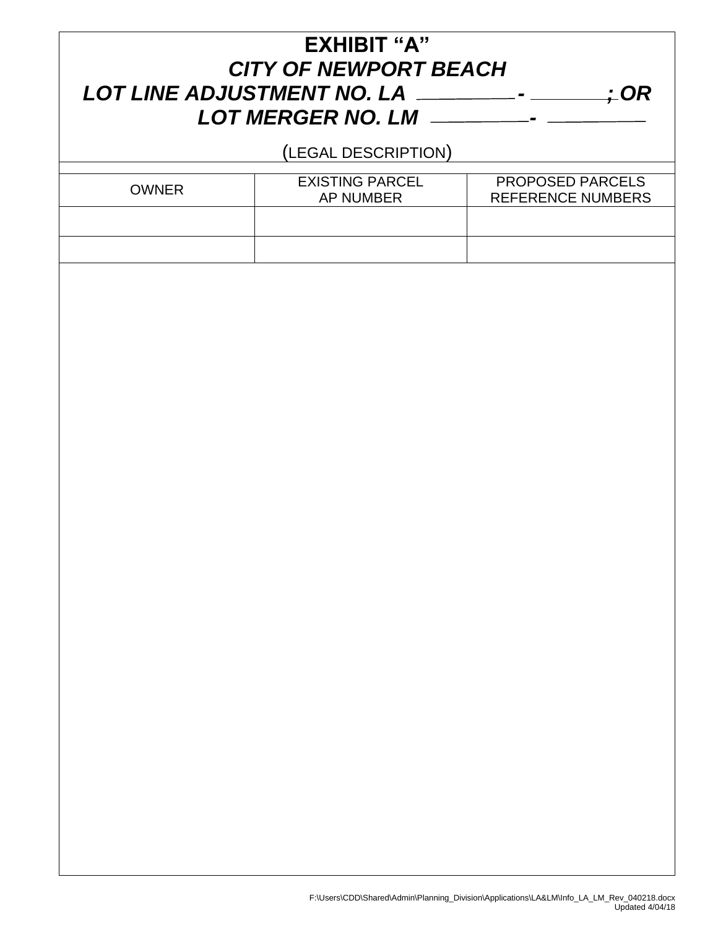## **EXHIBIT "A"** *CITY OF NEWPORT BEACH LOT LINE ADJUSTMENT NO. LA - ; OR LOT MERGER NO. LM -*

(LEGAL DESCRIPTION)

| <b>OWNER</b> | <b>EXISTING PARCEL</b><br>AP NUMBER | <b>PROPOSED PARCELS</b><br><b>REFERENCE NUMBERS</b> |
|--------------|-------------------------------------|-----------------------------------------------------|
|              |                                     |                                                     |
|              |                                     |                                                     |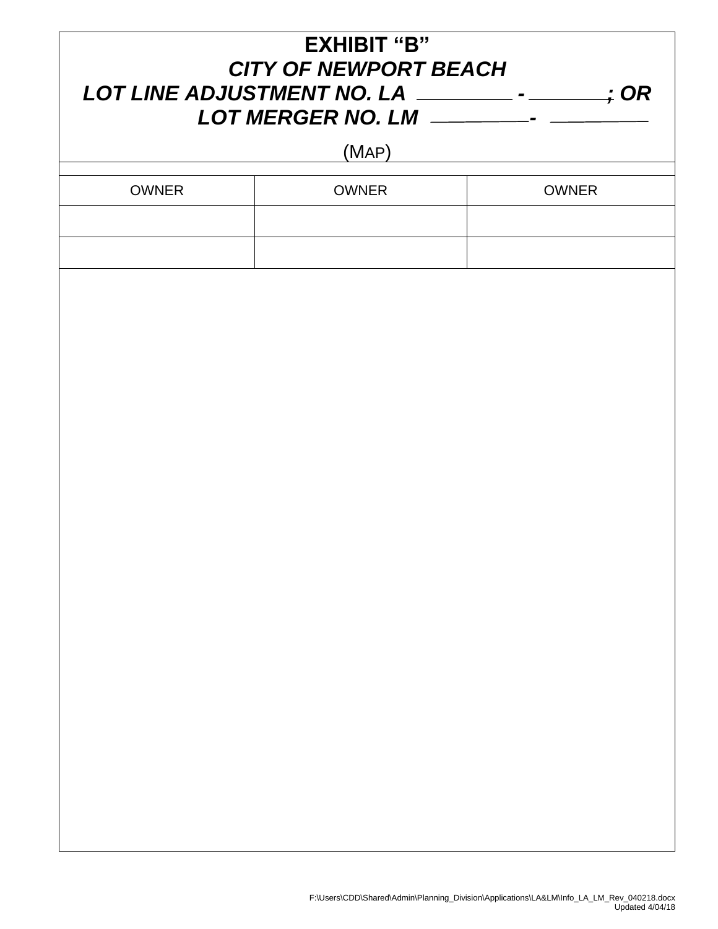| <b>EXHIBIT "B"</b><br><b>CITY OF NEWPORT BEACH</b> |              |              |  |  |
|----------------------------------------------------|--------------|--------------|--|--|
|                                                    | (MAP)        |              |  |  |
| <b>OWNER</b>                                       | <b>OWNER</b> | <b>OWNER</b> |  |  |
|                                                    |              |              |  |  |
|                                                    |              |              |  |  |
|                                                    |              |              |  |  |
|                                                    |              |              |  |  |
|                                                    |              |              |  |  |
|                                                    |              |              |  |  |
|                                                    |              |              |  |  |
|                                                    |              |              |  |  |
|                                                    |              |              |  |  |
|                                                    |              |              |  |  |
|                                                    |              |              |  |  |
|                                                    |              |              |  |  |
|                                                    |              |              |  |  |
|                                                    |              |              |  |  |
|                                                    |              |              |  |  |
|                                                    |              |              |  |  |
|                                                    |              |              |  |  |
|                                                    |              |              |  |  |
|                                                    |              |              |  |  |